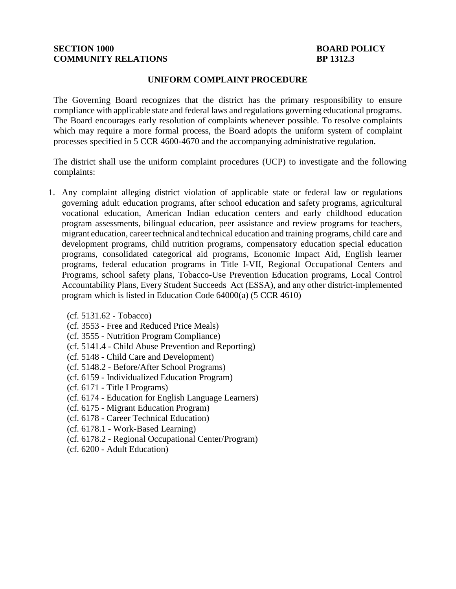# **SECTION 1000 BOARD POLICY COMMUNITY RELATIONS BP 1312.3**

#### **UNIFORM COMPLAINT PROCEDURE**

The Governing Board recognizes that the district has the primary responsibility to ensure compliance with applicable state and federal laws and regulations governing educational programs. The Board encourages early resolution of complaints whenever possible. To resolve complaints which may require a more formal process, the Board adopts the uniform system of complaint processes specified in 5 CCR [4600](http://gamutonline.net/displayPolicy/187020/1)[-4670](http://gamutonline.net/displayPolicy/187039/1) and the accompanying administrative regulation.

The district shall use the uniform complaint procedures (UCP) to investigate and the following complaints:

- 1. Any complaint alleging district violation of applicable state or federal law or regulations governing adult education programs, after school education and safety programs, agricultural vocational education, American Indian education centers and early childhood education program assessments, bilingual education, peer assistance and review programs for teachers, migrant education, career technical and technical education and training programs, child care and development programs, child nutrition programs, compensatory education special education programs, consolidated categorical aid programs, Economic Impact Aid, English learner programs, federal education programs in Title I-VII, Regional Occupational Centers and Programs, school safety plans, Tobacco-Use Prevention Education programs, Local Control Accountability Plans, Every Student Succeeds Act (ESSA), and any other district-implemented program which is listed in Education Code [64000\(](http://gamutonline.net/displayPolicy/133932/1)a) (5 CCR [4610\)](http://gamutonline.net/displayPolicy/187021/1)
	- (cf. 5131.62 Tobacco)
	- (cf. [3553](http://gamutonline.net/displayPolicy/1053060/1) Free and Reduced Price Meals)
	- (cf. [3555](http://gamutonline.net/displayPolicy/1053062/1) Nutrition Program Compliance)
	- (cf. [5141.4](http://gamutonline.net/displayPolicy/352660/1) Child Abuse Prevention and Reporting)
	- (cf. [5148](http://gamutonline.net/displayPolicy/1002210/1) Child Care and Development)
	- (cf. [5148.2](http://gamutonline.net/displayPolicy/1002212/1) Before/After School Programs)
	- (cf. [6159](http://gamutonline.net/displayPolicy/292829/1) Individualized Education Program)
	- (cf. [6171](http://gamutonline.net/displayPolicy/288781/1) Title I Programs)
	- (cf. [6174](http://gamutonline.net/displayPolicy/288783/1) Education for English Language Learners)
	- (cf. [6175](http://gamutonline.net/displayPolicy/303911/1) Migrant Education Program)
	- (cf. [6178](http://gamutonline.net/displayPolicy/211110/1) Career Technical Education)
	- (cf. [6178.1](http://gamutonline.net/displayPolicy/222847/1) Work-Based Learning)
	- (cf. [6178.2](http://gamutonline.net/displayPolicy/500011/1) Regional Occupational Center/Program)
	- (cf. [6200](http://gamutonline.net/displayPolicy/171737/1) Adult Education)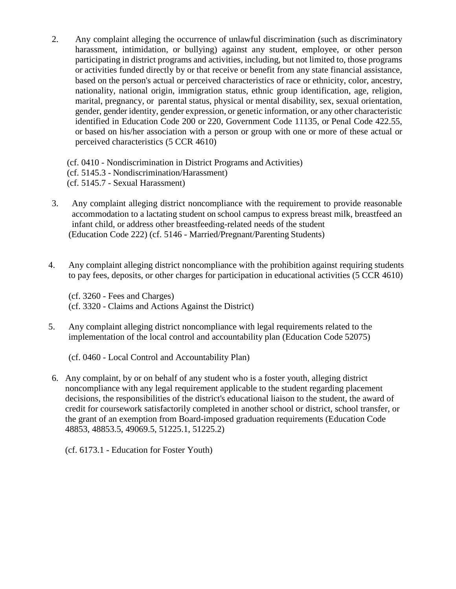2. Any complaint alleging the occurrence of unlawful discrimination (such as discriminatory harassment, intimidation, or bullying) against any student, employee, or other person participating in district programs and activities, including, but not limited to, those programs or activities funded directly by or that receive or benefit from any state financial assistance, based on the person's actual or perceived characteristics of race or ethnicity, color, ancestry, nationality, national origin, immigration status, ethnic group identification, age, religion, marital, pregnancy, or parental status, physical or mental disability, sex, sexual orientation, gender, gender identity, gender expression, or genetic information, or any other characteristic identified in Education Code [200](http://gamutonline.net/displayPolicy/138754/1) or [220,](http://gamutonline.net/displayPolicy/138763/1) Government Code [11135,](http://gamutonline.net/displayPolicy/144547/1) or Penal Code [422.55,](http://gamutonline.net/displayPolicy/352313/1) or based on his/her association with a person or group with one or more of these actual or perceived characteristics (5 CCR [4610\)](http://gamutonline.net/displayPolicy/187021/1)

(cf. [0410](http://gamutonline.net/displayPolicy/890898/1) - Nondiscrimination in District Programs and Activities) (cf. [5145.3](http://gamutonline.net/displayPolicy/1056960/1) - Nondiscrimination/Harassment) (cf. [5145.7](http://gamutonline.net/displayPolicy/1056962/1) - Sexual Harassment)

- 3. Any complaint alleging district noncompliance with the requirement to provide reasonable accommodation to a lactating student on school campus to express breast milk, breastfeed an infant child, or address other breastfeeding-related needs of the student (Education Code [222\)](http://gamutonline.net/displayPolicy/1040625/1) (cf. [5146](http://gamutonline.net/displayPolicy/1036973/1) - Married/Pregnant/Parenting Students)
- 4. Any complaint alleging district noncompliance with the prohibition against requiring students to pay fees, deposits, or other charges for participation in educational activities (5 CCR 4610)

(cf. 3260 - Fees and Charges) (cf. 3320 - Claims and Actions Against the District)

5. Any complaint alleging district noncompliance with legal requirements related to the implementation of the local control and accountability plan (Education Code 52075)

(cf. 0460 - Local Control and Accountability Plan)

6. Any complaint, by or on behalf of any student who is a foster youth, alleging district noncompliance with any legal requirement applicable to the student regarding placement decisions, the responsibilities of the district's educational liaison to the student, the award of credit for coursework satisfactorily completed in another school or district, school transfer, or the grant of an exemption from Board-imposed graduation requirements (Education Code 48853, 48853.5, 49069.5, 51225.1, 51225.2)

(cf. 6173.1 - Education for Foster Youth)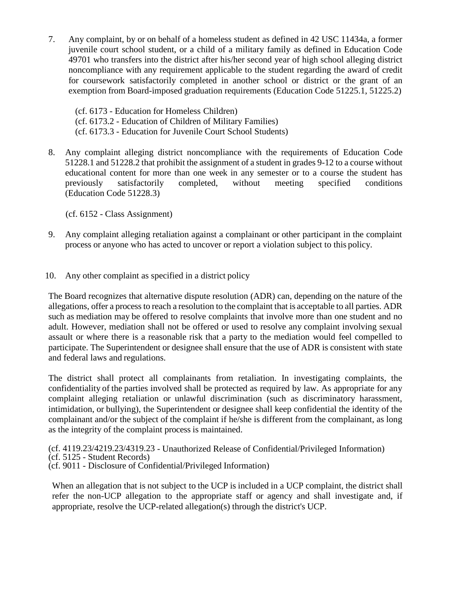7. Any complaint, by or on behalf of a homeless student as defined in 42 USC [11434a,](http://gamutonline.net/displayPolicy/191748/1) a former juvenile court school student, or a child of a military family as defined in Education Code 49701 who transfers into the district after his/her second year of high school alleging district noncompliance with any requirement applicable to the student regarding the award of credit for coursework satisfactorily completed in another school or district or the grant of an exemption from Board-imposed graduation requirements (Education Code [51225.1,](http://gamutonline.net/displayPolicy/1007257/1) [51225.2\)](http://gamutonline.net/displayPolicy/1007258/1)

(cf. [6173](http://gamutonline.net/displayPolicy/274293/1) - Education for Homeless Children) (cf. 6173.2 - Education of Children of Military Families) (cf. 6173.3 - Education for Juvenile Court School Students)

8. Any complaint alleging district noncompliance with the requirements of Education Code [51228.1](http://gamutonline.net/displayPolicy/1040627/1) an[d 51228.2](http://gamutonline.net/displayPolicy/1040628/1) that prohibit the assignment of a student in grades 9-12 to a course without educational content for more than one week in any semester or to a course the student has previously satisfactorily completed, without meeting specified conditions (Education Code [51228.3\)](http://gamutonline.net/displayPolicy/1040629/1)

(cf. [6152](http://gamutonline.net/displayPolicy/1036976/1) - Class Assignment)

- 9. Any complaint alleging retaliation against a complainant or other participant in the complaint process or anyone who has acted to uncover or report a violation subject to this policy.
- 10. Any other complaint as specified in a district policy

The Board recognizes that alternative dispute resolution (ADR) can, depending on the nature of the allegations, offer a processto reach a resolution to the complaint that is acceptable to all parties. ADR such as mediation may be offered to resolve complaints that involve more than one student and no adult. However, mediation shall not be offered or used to resolve any complaint involving sexual assault or where there is a reasonable risk that a party to the mediation would feel compelled to participate. The Superintendent or designee shall ensure that the use of ADR is consistent with state and federal laws and regulations.

The district shall protect all complainants from retaliation. In investigating complaints, the confidentiality of the parties involved shall be protected as required by law. As appropriate for any complaint alleging retaliation or unlawful discrimination (such as discriminatory harassment, intimidation, or bullying), the Superintendent or designee shall keep confidential the identity of the complainant and/or the subject of the complaint if he/she is different from the complainant, as long as the integrity of the complaint process is maintained.

(cf. [4119.23](http://gamutonline.net/displayPolicy/303903/1)[/4219.23](http://gamutonline.net/displayPolicy/321731/1)[/4319.23](http://gamutonline.net/displayPolicy/321732/1) - Unauthorized Release of Confidential/Privileged Information) (cf. [5125](http://gamutonline.net/displayPolicy/559084/1) - Student Records) (cf. [9011](http://gamutonline.net/displayPolicy/288786/1) - Disclosure of Confidential/Privileged Information)

When an allegation that is not subject to the UCP is included in a UCP complaint, the district shall refer the non-UCP allegation to the appropriate staff or agency and shall investigate and, if appropriate, resolve the UCP-related allegation(s) through the district's UCP.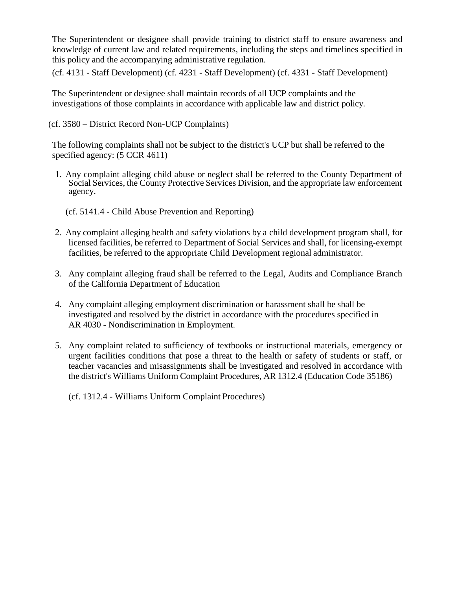The Superintendent or designee shall provide training to district staff to ensure awareness and knowledge of current law and related requirements, including the steps and timelines specified in this policy and the accompanying administrative regulation.

(cf. [4131](http://gamutonline.net/displayPolicy/1002203/1) - Staff Development) (cf. [4231](http://gamutonline.net/displayPolicy/1002207/1) - Staff Development) (cf. [4331](http://gamutonline.net/displayPolicy/171627/1) - Staff Development)

The Superintendent or designee shall maintain records of all UCP complaints and the investigations of those complaints in accordance with applicable law and district policy.

(cf. [3580](http://gamutonline.net/displayPolicy/1049427/1) – District Record Non-UCP Complaints)

The following complaints shall not be subject to the district's UCP but shall be referred to the specified agency: (5 CCR [4611\)](http://gamutonline.net/displayPolicy/264258/1)

- 1. Any complaint alleging child abuse or neglect shall be referred to the County Department of Social Services, the County Protective Services Division, and the appropriate law enforcement agency.
	- (cf. 5141.4 Child Abuse Prevention and Reporting)
- 2. Any complaint alleging health and safety violations by a child development program shall, for licensed facilities, be referred to Department of Social Services and shall, for licensing-exempt facilities, be referred to the appropriate Child Development regional administrator.
- 3. Any complaint alleging fraud shall be referred to the Legal, Audits and Compliance Branch of the California Department of Education
- 4. Any complaint alleging employment discrimination or harassment shall be shall be investigated and resolved by the district in accordance with the procedures specified in AR 4030 - Nondiscrimination in Employment.
- 5. Any complaint related to sufficiency of textbooks or instructional materials, emergency or urgent facilities conditions that pose a threat to the health or safety of students or staff, or teacher vacancies and misassignments shall be investigated and resolved in accordance with the district's Williams Uniform Complaint Procedures, AR 1312.4 (Education Code [35186\)](http://gamutonline.net/displayPolicy/352127/1)

(cf. [1312.4](http://gamutonline.net/displayPolicy/936007/1) - Williams Uniform Complaint Procedures)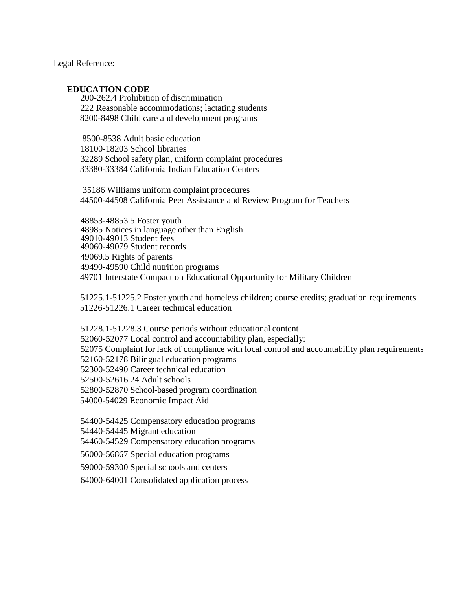Legal Reference:

#### **EDUCATION CODE**

[200-](http://gamutonline.net/displayPolicy/138754/1)[262.4](http://gamutonline.net/displayPolicy/138778/1) Prohibition of discrimination Reasonable accommodations; lactating students 8200-8498 Child care and development programs

[-8538](http://gamutonline.net/displayPolicy/129493/1) Adult basic education [-18203](http://gamutonline.net/displayPolicy/204126/1) School libraries School safety plan, uniform complaint procedures 33380-33384 California Indian Education Centers

 Williams uniform complaint procedures 44500-44508 California Peer Assistance and Review Program for Teachers

[-48853.5](http://gamutonline.net/displayPolicy/315649/1) Foster youth Notices in language other than English [-49013](http://gamutonline.net/displayPolicy/781186/1) Student fees [-49079](http://gamutonline.net/displayPolicy/226085/1) Student records [49069.5](http://gamutonline.net/displayPolicy/137891/1) Rights of parents [-49590](http://gamutonline.net/displayPolicy/137374/1) Child nutrition programs 49701 Interstate Compact on Educational Opportunity for Military Children

[51225.1-](http://gamutonline.net/displayPolicy/1007257/1)[51225.2](http://gamutonline.net/displayPolicy/1007258/1) Foster youth and homeless children; course credits; graduation requirements 51226-51226.1 Career technical education

[51228.1-](http://gamutonline.net/displayPolicy/1040627/1)[51228.3](http://gamutonline.net/displayPolicy/1040629/1) Course periods without educational content [-52077](http://gamutonline.net/displayPolicy/899537/1) Local control and accountability plan, especially: Complaint for lack of compliance with local control and accountability plan requirements [-52178](http://gamutonline.net/displayPolicy/132883/1) Bilingual education programs [-52490](http://gamutonline.net/displayPolicy/136127/1) Career technical education [-52616.24](http://gamutonline.net/displayPolicy/133065/1) Adult schools [-52870](http://gamutonline.net/displayPolicy/138109/1) School-based program coordination 54000-54029 Economic Impact Aid

[-54425](http://gamutonline.net/displayPolicy/133253/1) Compensatory education programs

[-54445](http://gamutonline.net/displayPolicy/133265/1) Migrant education

[-54529](http://gamutonline.net/displayPolicy/133285/1) Compensatory education programs

[-56867](http://gamutonline.net/displayPolicy/249264/1) Special education programs

[-59300](http://gamutonline.net/displayPolicy/133831/1) Special schools and centers

[-64001](http://gamutonline.net/displayPolicy/133933/1) Consolidated application process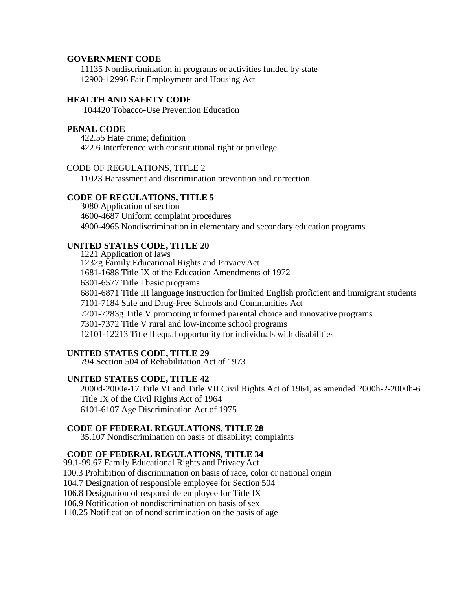### **GOVERNMENT CODE**

[11135](http://gamutonline.net/displayPolicy/144547/1) Nondiscrimination in programs or activities funded by state [12900](http://gamutonline.net/displayPolicy/144644/1)[-12996](http://gamutonline.net/displayPolicy/144699/1) Fair Employment and Housing Act

# **HEALTH AND SAFETY CODE**

104420 Tobacco-Use Prevention Education

#### **PENAL CODE**

[422.55](http://gamutonline.net/displayPolicy/352313/1) Hate crime; definition [422.6](http://gamutonline.net/displayPolicy/169695/1) Interference with constitutional right or privilege

#### CODE OF REGULATIONS, TITLE 2

11023 Harassment and discrimination prevention and correction

## **CODE OF REGULATIONS, TITLE 5**

[3080](http://gamutonline.net/displayPolicy/186919/1) Application of section [4600-](http://gamutonline.net/displayPolicy/187020/1)[4687](http://gamutonline.net/displayPolicy/390302/1) Uniform complaint procedures [4900-](http://gamutonline.net/displayPolicy/187041/1)[4965](http://gamutonline.net/displayPolicy/244922/1) Nondiscrimination in elementary and secondary education programs

## **UNITED STATES CODE, TITLE 20**

[1221](http://gamutonline.net/displayPolicy/189929/1) Application of laws [1232g](http://gamutonline.net/displayPolicy/189959/1) Family Educational Rights and PrivacyAct [1681-](http://gamutonline.net/displayPolicy/189980/1)[1688](http://gamutonline.net/displayPolicy/189987/1) Title IX of the Education Amendments of 1972 [6301-](http://gamutonline.net/displayPolicy/302900/1)[6577](http://gamutonline.net/displayPolicy/302977/1) Title I basic programs [6801-](http://gamutonline.net/displayPolicy/190232/1)[6871](http://gamutonline.net/displayPolicy/190249/1) Title III language instruction for limited English proficient and immigrant students [7101-](http://gamutonline.net/displayPolicy/302769/1)[7184](http://gamutonline.net/displayPolicy/302797/1) Safe and Drug-Free Schools and Communities Act [7201-](http://gamutonline.net/displayPolicy/303027/1)[7283g](http://gamutonline.net/displayPolicy/303160/1) Title V promoting informed parental choice and innovative programs [7301-](http://gamutonline.net/displayPolicy/302835/1)[7372](http://gamutonline.net/displayPolicy/302872/1) Title V rural and low-income school programs 12101-12213 Title II equal opportunity for individuals with disabilities

#### **UNITED STATES CODE, TITLE 29**

[794](http://gamutonline.net/displayPolicy/191053/1) Section 504 of Rehabilitation Act of 1973

# **UNITED STATES CODE, TITLE 42**

[2000d](http://gamutonline.net/displayPolicy/191934/1)[-2000e-](http://gamutonline.net/displayPolicy/191943/1)17 Title VI and Title VII Civil Rights Act of 1964, as amended [2000h-](http://gamutonline.net/displayPolicy/191961/1)2-2000h-6 Title IX of the Civil Rights Act of 1964 6101-6107 Age Discrimination Act of 1975

#### **CODE OF FEDERAL REGULATIONS, TITLE 28**

[35.107](http://gamutonline.net/displayPolicy/222057/1) Nondiscrimination on basis of disability; complaints

## **CODE OF FEDERAL REGULATIONS, TITLE 34**

[99.1](http://gamutonline.net/displayPolicy/191103/1)[-99.67](http://gamutonline.net/displayPolicy/191132/1) Family Educational Rights and Privacy Act

[100.3](http://gamutonline.net/displayPolicy/274461/1) Prohibition of discrimination on basis of race, color or national origin

[104.7](http://gamutonline.net/displayPolicy/191260/1) Designation of responsible employee for Section 504

106.8 Designation of responsible employee for Title IX

106.9 Notification of nondiscrimination on basis of sex

[110.25](http://gamutonline.net/displayPolicy/734607/1) Notification of nondiscrimination on the basis of age